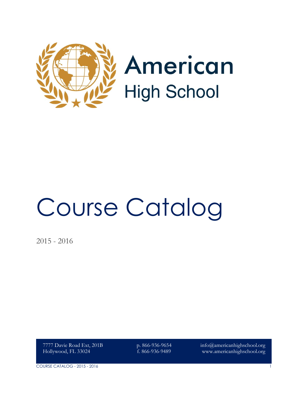

# Course Catalog

2015 - 2016

7777 Davie Road Ext, 201B Hollywood, FL 33024

p. 866-936-9654 f. 866-936-9489

info@americanhighschool.org www.americanhighschool.org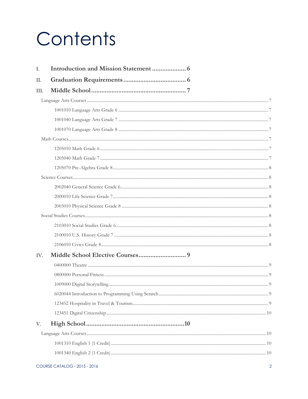## Contents

| Ι.   |  |  |  |
|------|--|--|--|
| Π.   |  |  |  |
| III. |  |  |  |
|      |  |  |  |
|      |  |  |  |
|      |  |  |  |
|      |  |  |  |
|      |  |  |  |
|      |  |  |  |
|      |  |  |  |
|      |  |  |  |
|      |  |  |  |
|      |  |  |  |
|      |  |  |  |
|      |  |  |  |
|      |  |  |  |
|      |  |  |  |
|      |  |  |  |
|      |  |  |  |
| IV.  |  |  |  |
|      |  |  |  |
|      |  |  |  |
|      |  |  |  |
|      |  |  |  |
|      |  |  |  |
|      |  |  |  |
| V.   |  |  |  |
|      |  |  |  |
|      |  |  |  |
|      |  |  |  |
|      |  |  |  |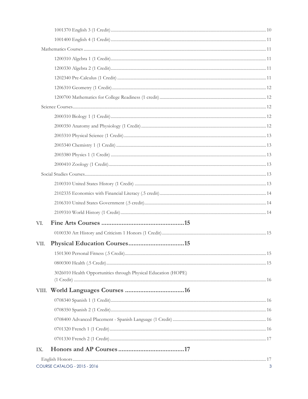| VI.  |                                                                |  |
|------|----------------------------------------------------------------|--|
|      |                                                                |  |
| VII. |                                                                |  |
|      |                                                                |  |
|      |                                                                |  |
|      | 3026010 Health Opportunities through Physical Education (HOPE) |  |
|      |                                                                |  |
|      |                                                                |  |
|      |                                                                |  |
|      |                                                                |  |
|      |                                                                |  |
|      |                                                                |  |
| IX.  |                                                                |  |
|      |                                                                |  |
|      | COURSE CATALOG - 2015 - 2016                                   |  |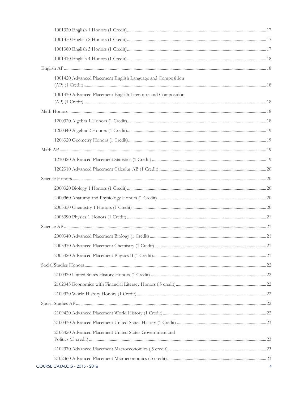| 1001420 Advanced Placement English Language and Composition   |  |
|---------------------------------------------------------------|--|
| 1001430 Advanced Placement English Literature and Composition |  |
|                                                               |  |
|                                                               |  |
|                                                               |  |
|                                                               |  |
|                                                               |  |
|                                                               |  |
|                                                               |  |
|                                                               |  |
|                                                               |  |
|                                                               |  |
|                                                               |  |
|                                                               |  |
|                                                               |  |
|                                                               |  |
|                                                               |  |
|                                                               |  |
|                                                               |  |
|                                                               |  |
|                                                               |  |
|                                                               |  |
|                                                               |  |
|                                                               |  |
|                                                               |  |
| 2106420 Advanced Placement United States Government and       |  |
|                                                               |  |
|                                                               |  |
| <b>COURSE CATALOG - 2015 - 2016</b>                           |  |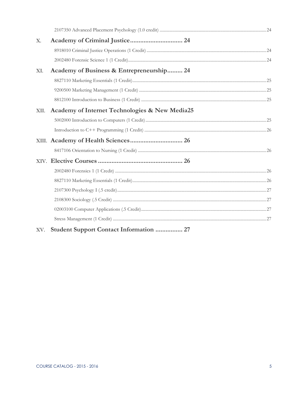| Х.   |                                                |  |  |
|------|------------------------------------------------|--|--|
|      |                                                |  |  |
|      |                                                |  |  |
| XI.  | Academy of Business & Entrepreneurship 24      |  |  |
|      |                                                |  |  |
|      |                                                |  |  |
|      |                                                |  |  |
| XII. | Academy of Internet Technologies & New Media25 |  |  |
|      |                                                |  |  |
|      |                                                |  |  |
|      |                                                |  |  |
|      |                                                |  |  |
|      |                                                |  |  |
|      |                                                |  |  |
|      |                                                |  |  |
|      |                                                |  |  |
|      |                                                |  |  |
|      |                                                |  |  |
|      |                                                |  |  |
| XV.  | Student Support Contact Information  27        |  |  |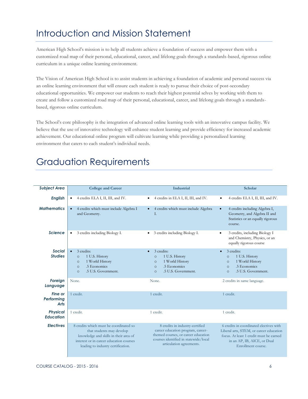## <span id="page-5-0"></span>Introduction and Mission Statement

American High School's mission is to help all students achieve a foundation of success and empower them with a customized road map of their personal, educational, career, and lifelong goals through a standards-based, rigorous online curriculum in a unique online learning environment.

The Vision of American High School is to assist students in achieving a foundation of academic and personal success via an online learning environment that will ensure each student is ready to pursue their choice of post-secondary educational opportunities. We empower our students to reach their highest potential selves by working with them to create and follow a customized road map of their personal, educational, career, and lifelong goals through a standardsbased, rigorous online curriculum.

The School's core philosophy is the integration of advanced online learning tools with an innovative campus facility. We believe that the use of innovative technology will enhance student learning and provide efficiency for increased academic achievement. Our educational online program will cultivate learning while providing a personalized learning environment that caters to each student's individual needs.

## <span id="page-5-1"></span>Graduation Requirements

| <b>Subject Area</b>                  | <b>College and Career</b>                                                                                                                                                                     | Industrial                                                                                                                                                                       | <b>Scholar</b>                                                                                                                                                                     |
|--------------------------------------|-----------------------------------------------------------------------------------------------------------------------------------------------------------------------------------------------|----------------------------------------------------------------------------------------------------------------------------------------------------------------------------------|------------------------------------------------------------------------------------------------------------------------------------------------------------------------------------|
| <b>English</b>                       | 4 credits ELA I, II, III, and IV.<br>$\bullet$                                                                                                                                                | 4 credits in ELA I, II, III, and IV.<br>$\bullet$                                                                                                                                | 4 credits ELA I, II, III, and IV.<br>$\bullet$                                                                                                                                     |
| <b>Mathematics</b>                   | 4 credits which must include Algebra I<br>and Geometry.                                                                                                                                       | 4 credits which must include Algebra<br>$\bullet$<br>L.                                                                                                                          | 4 credits including Algebra I,<br>$\bullet$<br>Geometry, and Algebra II and<br>Statistics or an equally rigorous<br>course.                                                        |
| <b>Science</b>                       | 3 credits including Biology I.                                                                                                                                                                | 3 credits including Biology I.<br>$\bullet$                                                                                                                                      | 3 credits, including Biology I<br>$\bullet$<br>and Chemistry, Physics, or an<br>equally rigorous course                                                                            |
| <b>Social</b><br><b>Studies</b>      | 3 credits:<br>1 U.S. History<br>$\circ$<br>1 World History<br>$\circ$<br>.5 Economics<br>$\circ$<br>.5 U.S. Government.<br>$\circ$                                                            | 3 credits:<br>$\bullet$<br>1 U.S. History<br>$\circ$<br>1 World History<br>$\circ$<br>.5 Economics<br>$\circ$<br>.5 U.S. Government.<br>$\circ$                                  | 3 credits:<br>$\bullet$<br>1 U.S. History<br>$\circ$<br>1 World History<br>$\circ$<br>.5 Economics<br>$\circ$<br>.5 U.S. Government.<br>$\circ$                                    |
| Foreign<br>Language                  | None.                                                                                                                                                                                         | None.                                                                                                                                                                            | 2 credits in same language.                                                                                                                                                        |
| Fine or<br>Performina<br><b>Arts</b> | 1 credit.                                                                                                                                                                                     | 1 credit.                                                                                                                                                                        | 1 credit.                                                                                                                                                                          |
| <b>Physical</b><br><b>Education</b>  | 1 credit.                                                                                                                                                                                     | 1 credit.                                                                                                                                                                        | 1 credit.                                                                                                                                                                          |
| <b>Electives</b>                     | 8 credits which must be coordinated so<br>that students may develop<br>knowledge and skills in their area of<br>interest or in career education courses<br>leading to industry certification. | 8 credits in industry-certified<br>career education program, career-<br>themed courses, or career education<br>courses identified in statewide/local<br>articulation agreements. | 6 credits in coordinated electives with<br>Liberal arts, STEM, or career education<br>focus. At least 1 credit must be earned<br>in an AP, IB, AICE, or Dual<br>Enrollment course. |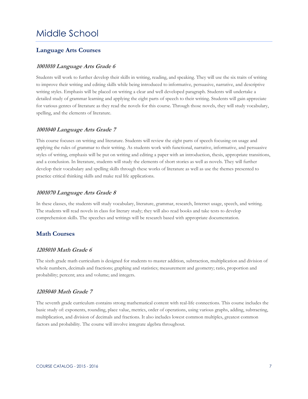## <span id="page-6-0"></span>Middle School

#### <span id="page-6-1"></span>**Language Arts Courses**

#### <span id="page-6-2"></span>**1001010 Language Arts Grade 6**

Students will work to further develop their skills in writing, reading, and speaking. They will use the six traits of writing to improve their writing and editing skills while being introduced to informative, persuasive, narrative, and descriptive writing styles. Emphasis will be placed on writing a clear and well developed paragraph. Students will undertake a detailed study of grammar learning and applying the eight parts of speech to their writing. Students will gain appreciate for various genres of literature as they read the novels for this course. Through those novels, they will study vocabulary, spelling, and the elements of literature.

#### <span id="page-6-3"></span>**1001040 Language Arts Grade 7**

This course focuses on writing and literature. Students will review the eight parts of speech focusing on usage and applying the rules of grammar to their writing. As students work with functional, narrative, informative, and persuasive styles of writing, emphasis will be put on writing and editing a paper with an introduction, thesis, appropriate transitions, and a conclusion. In literature, students will study the elements of short stories as well as novels. They will further develop their vocabulary and spelling skills through these works of literature as well as use the themes presented to practice critical thinking skills and make real life applications.

#### <span id="page-6-4"></span>**1001070 Language Arts Grade 8**

In these classes, the students will study vocabulary, literature, grammar, research, Internet usage, speech, and writing. The students will read novels in class for literary study; they will also read books and take tests to develop comprehension skills. The speeches and writings will be research based with appropriate documentation.

#### <span id="page-6-5"></span>**Math Courses**

#### <span id="page-6-6"></span>**1205010 Math Grade 6**

The sixth grade math curriculum is designed for students to master addition, subtraction, multiplication and division of whole numbers, decimals and fractions; graphing and statistics; measurement and geometry; ratio, proportion and probability; percent; area and volume; and integers.

#### <span id="page-6-7"></span>**1205040 Math Grade 7**

The seventh grade curriculum contains strong mathematical content with real-life connections. This course includes the basic study of: exponents, rounding, place value, metrics, order of operations, using various graphs, adding, subtracting, multiplication, and division of decimals and fractions. It also includes lowest common multiples, greatest common factors and probability. The course will involve integrate algebra throughout.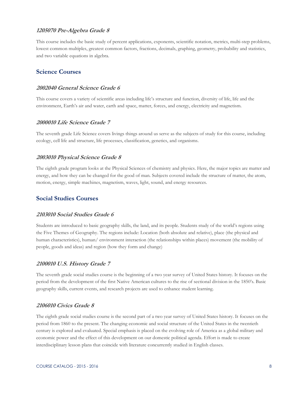#### <span id="page-7-0"></span>**1205070 Pre-Algebra Grade 8**

This course includes the basic study of percent applications, exponents, scientific notation, metrics, multi-step problems, lowest common multiples, greatest common factors, fractions, decimals, graphing, geometry, probability and statistics, and two variable equations in algebra.

#### <span id="page-7-1"></span>**Science Courses**

#### <span id="page-7-2"></span>**2002040 General Science Grade 6**

This course covers a variety of scientific areas including life's structure and function, diversity of life, life and the environment, Earth's air and water, earth and space, matter, forces, and energy, electricity and magnetism.

#### <span id="page-7-3"></span>**2000010 Life Science Grade 7**

The seventh grade Life Science covers livings things around us serve as the subjects of study for this course, including ecology, cell life and structure, life processes, classification, genetics, and organisms.

#### <span id="page-7-4"></span>**2003010 Physical Science Grade 8**

The eighth grade program looks at the Physical Sciences of chemistry and physics. Here, the major topics are matter and energy, and how they can be changed for the good of man. Subjects covered include the structure of matter, the atom, motion, energy, simple machines, magnetism, waves, light, sound, and energy resources.

#### <span id="page-7-5"></span>**Social Studies Courses**

#### <span id="page-7-6"></span>**2103010 Social Studies Grade 6**

Students are introduced to basic geography skills, the land, and its people. Students study of the world's regions using the Five Themes of Geography. The regions include: Location (both absolute and relative), place (the physical and human characteristics), human/ environment interaction (the relationships within places) movement (the mobility of people, goods and ideas) and region (how they form and change)

#### <span id="page-7-7"></span>**2100010 U.S. History Grade 7**

The seventh grade social studies course is the beginning of a two year survey of United States history. It focuses on the period from the development of the first Native American cultures to the rise of sectional division in the 1850's. Basic geography skills, current events, and research projects are used to enhance student learning.

#### <span id="page-7-8"></span>**2106010 Civics Grade 8**

The eighth grade social studies course is the second part of a two year survey of United States history. It focuses on the period from 1860 to the present. The changing economic and social structure of the United States in the twentieth century is explored and evaluated. Special emphasis is placed on the evolving role of America as a global military and economic power and the effect of this development on our domestic political agenda. Effort is made to create interdisciplinary lesson plans that coincide with literature concurrently studied in English classes.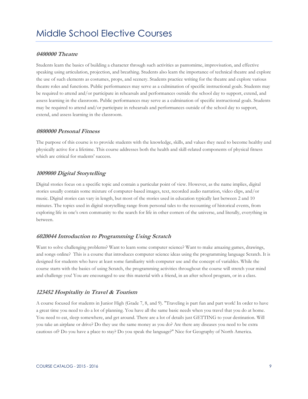#### <span id="page-8-1"></span><span id="page-8-0"></span>**0400000 Theatre**

Students learn the basics of building a character through such activities as pantomime, improvisation, and effective speaking using articulation, projection, and breathing. Students also learn the importance of technical theatre and explore the use of such elements as costumes, props, and scenery. Students practice writing for the theatre and explore various theatre roles and functions. Public performances may serve as a culmination of specific instructional goals. Students may be required to attend and/or participate in rehearsals and performances outside the school day to support, extend, and assess learning in the classroom. Public performances may serve as a culmination of specific instructional goals. Students may be required to attend and/or participate in rehearsals and performances outside of the school day to support, extend, and assess learning in the classroom.

#### <span id="page-8-2"></span>**0800000 Personal Fitness**

The purpose of this course is to provide students with the knowledge, skills, and values they need to become healthy and physically active for a lifetime. This course addresses both the health and skill-related components of physical fitness which are critical for students' success.

#### <span id="page-8-3"></span>**1009000 Digital Storytelling**

Digital stories focus on a specific topic and contain a particular point of view. However, as the name implies, digital stories usually contain some mixture of computer-based images, text, recorded audio narration, video clips, and/or music. Digital stories can vary in length, but most of the stories used in education typically last between 2 and 10 minutes. The topics used in digital storytelling range from personal tales to the recounting of historical events, from exploring life in one's own community to the search for life in other corners of the universe, and literally, everything in between.

#### <span id="page-8-4"></span>**6020044 Introduction to Programming Using Scratch**

Want to solve challenging problems? Want to learn some computer science? Want to make amazing games, drawings, and songs online? This is a course that introduces computer science ideas using the programming language Scratch. It is designed for students who have at least some familiarity with computer use and the concept of variables. While the course starts with the basics of using Scratch, the programming activities throughout the course will stretch your mind and challenge you! You are encouraged to use this material with a friend, in an after school program, or in a class.

#### <span id="page-8-5"></span>**123452 Hospitality in Travel & Tourism**

A course focused for students in Junior High (Grade 7, 8, and 9). "Traveling is part fun and part work! In order to have a great time you need to do a lot of planning. You have all the same basic needs when you travel that you do at home. You need to eat, sleep somewhere, and get around. There are a lot of details just GETTING to your destination. Will you take an airplane or drive? Do they use the same money as you do? Are there any diseases you need to be extra cautious of? Do you have a place to stay? Do you speak the language?" Nice for Geography of North America.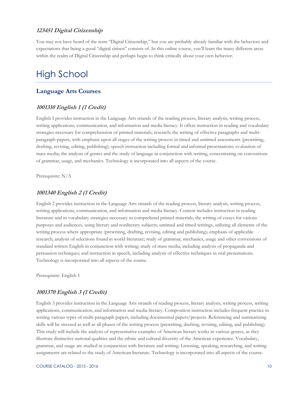#### <span id="page-9-0"></span>**123451 Digital Citizenship**

You may not have heard of the term "Digital Citizenship," but you are probably already familiar with the behaviors and expectations that being a good "digital citizen" consists of. In this online course, you'll learn the many different areas within the realm of Digital Citizenship and perhaps begin to think critically about your own behavior.

## <span id="page-9-1"></span>High School

#### <span id="page-9-2"></span>**Language Arts Courses**

#### <span id="page-9-3"></span>**1001310 English 1 (1 Credit)**

English I provides instruction in the Language Arts strands of the reading process, literary analysis, writing process, writing applications, communication, and information and media literacy. It offers instruction in reading and vocabulary strategies necessary for comprehension of printed materials; research; the writing of effective paragraphs and multiparagraph papers, with emphasis upon all stages of the writing process in timed and untimed assessments (prewriting, drafting, revising, editing, publishing); speech instruction including formal and informal presentations; evaluation of mass media; the analysis of genres and the study of language in conjunction with writing, concentrating on conventions of grammar, usage, and mechanics. Technology is incorporated into all aspects of the course.

Prerequisite: N/A

#### <span id="page-9-4"></span>**1001340 English 2 (1 Credit)**

English 2 provides instruction in the Language Arts strands of the reading process, literary analysis, writing process, writing applications, communication, and information and media literacy. Content includes instruction in reading literature and in vocabulary strategies necessary to comprehend printed materials; the writing of essays for various purposes and audiences, using literary and nonliterary subjects; untimed and timed writings, utilizing all elements of the writing process where appropriate (prewriting, drafting, revising, editing and publishing); emphasis of applicable research; analysis of selections found in world literature; study of grammar, mechanics, usage and other conventions of standard written English in conjunction with writing; study of mass media, including analysis of propaganda and persuasion techniques; and instruction in speech, including analysis of effective techniques in oral presentations. Technology is incorporated into all aspects of the course.

Prerequisite: English 1

#### <span id="page-9-5"></span>**1001370 English 3 (1 Credit)**

English 3 provides instruction in the Language Arts strands of reading process, literary analysis, writing process, writing applications, communication, and information and media literacy. Composition instruction includes frequent practice in writing various types of multi-paragraph papers, including documented papers/projects. Referencing and summarizing skills will be stressed as well as all phases of the writing process (prewriting, drafting, revising, editing, and publishing). This study will include the analysis of representative examples of American literary works in various genres, as they illustrate distinctive national qualities and the ethnic and cultural diversity of the American experience. Vocabulary, grammar, and usage are studied in conjunction with literature and writing. Listening, speaking, researching, and writing assignments are related to the study of American literature. Technology is incorporated into all aspects of the course.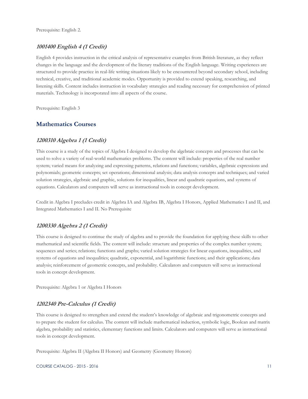#### <span id="page-10-0"></span>**1001400 English 4 (1 Credit)**

English 4 provides instruction in the critical analysis of representative examples from British literature, as they reflect changes in the language and the development of the literary traditions of the English language. Writing experiences are structured to provide practice in real-life writing situations likely to be encountered beyond secondary school, including technical, creative, and traditional academic modes. Opportunity is provided to extend speaking, researching, and listening skills. Content includes instruction in vocabulary strategies and reading necessary for comprehension of printed materials. Technology is incorporated into all aspects of the course.

Prerequisite: English 3

#### <span id="page-10-1"></span>**Mathematics Courses**

#### <span id="page-10-2"></span>**1200310 Algebra 1 (1 Credit)**

This course is a study of the topics of Algebra I designed to develop the algebraic concepts and processes that can be used to solve a variety of real-world mathematics problems. The content will include: properties of the real number system; varied means for analyzing and expressing patterns, relations and functions; variables, algebraic expressions and polynomials; geometric concepts; set operations; dimensional analysis; data analysis concepts and techniques; and varied solution strategies, algebraic and graphic, solutions for inequalities, linear and quadratic equations, and systems of equations. Calculators and computers will serve as instructional tools in concept development.

Credit in Algebra I precludes credit in Algebra IA and Algebra IB, Algebra I Honors, Applied Mathematics I and II, and Integrated Mathematics I and II. No Prerequisite

#### <span id="page-10-3"></span>**1200330 Algebra 2 (1 Credit)**

This course is designed to continue the study of algebra and to provide the foundation for applying these skills to other mathematical and scientific fields. The content will include: structure and properties of the complex number system; sequences and series; relations; functions and graphs; varied solution strategies for linear equations, inequalities, and systems of equations and inequalities; quadratic, exponential, and logarithmic functions; and their applications; data analysis; reinforcement of geometric concepts, and probability. Calculators and computers will serve as instructional tools in concept development.

Prerequisite: Algebra 1 or Algebra I Honors

#### <span id="page-10-4"></span>**1202340 Pre-Calculus (1 Credit)**

This course is designed to strengthen and extend the student's knowledge of algebraic and trigonometric concepts and to prepare the student for calculus. The content will include mathematical induction, symbolic logic, Boolean and matrix algebra, probability and statistics, elementary functions and limits. Calculators and computers will serve as instructional tools in concept development.

Prerequisite: Algebra II (Algebra II Honors) and Geometry (Geometry Honors)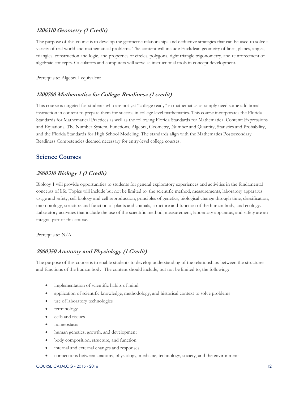#### <span id="page-11-0"></span>**1206310 Geometry (1 Credit)**

The purpose of this course is to develop the geometric relationships and deductive strategies that can be used to solve a variety of real world and mathematical problems. The content will include Euclidean geometry of lines, planes, angles, triangles, construction and logic, and properties of circles, polygons, right triangle trigonometry, and reinforcement of algebraic concepts. Calculators and computers will serve as instructional tools in concept development.

Prerequisite: Algebra I equivalent

#### <span id="page-11-1"></span>**1200700 Mathematics for College Readiness (1 credit)**

This course is targeted for students who are not yet "college ready" in mathematics or simply need some additional instruction in content to prepare them for success in college level mathematics. This course incorporates the Florida Standards for Mathematical Practices as well as the following Florida Standards for Mathematical Content: Expressions and Equations, The Number System, Functions, Algebra, Geometry, Number and Quantity, Statistics and Probability, and the Florida Standards for High School Modeling. The standards align with the Mathematics Postsecondary Readiness Competencies deemed necessary for entry-level college courses.

#### <span id="page-11-2"></span>**Science Courses**

#### <span id="page-11-3"></span>**2000310 Biology 1 (1 Credit)**

Biology 1 will provide opportunities to students for general exploratory experiences and activities in the fundamental concepts of life. Topics will include but not be limited to: the scientific method, measurements, laboratory apparatus usage and safety, cell biology and cell reproduction, principles of genetics, biological change through time, classification, microbiology, structure and function of plants and animals, structure and function of the human body, and ecology. Laboratory activities that include the use of the scientific method, measurement, laboratory apparatus, and safety are an integral part of this course.

Prerequisite: N/A

#### <span id="page-11-4"></span>**2000350 Anatomy and Physiology (1 Credit)**

The purpose of this course is to enable students to develop understanding of the relationships between the structures and functions of the human body. The content should include, but not be limited to, the following:

- implementation of scientific habits of mind
- application of scientific knowledge, methodology, and historical context to solve problems
- use of laboratory technologies
- terminology
- cells and tissues
- homeostasis
- human genetics, growth, and development
- body composition, structure, and function
- internal and external changes and responses
- connections between anatomy, physiology, medicine, technology, society, and the environment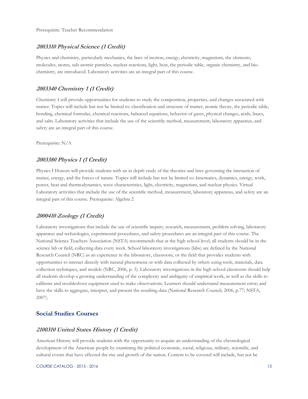Prerequisite: Teacher Recommendation

#### <span id="page-12-0"></span>**2003310 Physical Science (1 Credit)**

Physics and chemistry, particularly mechanics, the laws of motion, energy, electricity, magnetism, the elements, molecules, atoms, sub-atomic particles, nuclear reactions, light, heat, the periodic table, organic chemistry, and biochemistry, are introduced. Laboratory activities are an integral part of this course.

#### <span id="page-12-1"></span>**2003340 Chemistry 1 (1 Credit)**

Chemistry I will provide opportunities for students to study the composition, properties, and changes associated with matter. Topics will include but not be limited to: classification and structure of matter, atomic theory, the periodic table, bonding, chemical formulas, chemical reactions, balanced equations, behavior of gases, physical changes, acids, bases, and salts. Laboratory activities that include the use of the scientific method, measurement, laboratory apparatus, and safety are an integral part of this course.

Prerequisite: N/A

#### <span id="page-12-2"></span>**2003380 Physics 1 (1 Credit)**

Physics I Honors will provide students with an in depth study of the theories and laws governing the interaction of matter, energy, and the forces of nature. Topics will include but not be limited to: kinematics, dynamics, energy, work, power, heat and thermodynamics, wave characteristics, light, electricity, magnetism, and nuclear physics. Virtual Laboratory activities that include the use of the scientific method, measurement, laboratory apparatus, and safety are an integral part of this course. Prerequisite: Algebra 2

#### <span id="page-12-3"></span>**2000410 Zoology (1 Credit)**

Laboratory investigations that include the use of scientific inquiry, research, measurement, problem solving, laboratory apparatus and technologies, experimental procedures, and safety procedures are an integral part of this course. The National Science Teachers Association (NSTA) recommends that at the high school level, all students should be in the science lab or field, collecting data every week. School laboratory investigations (labs) are defined by the National Research Council (NRC) as an experience in the laboratory, classroom, or the field that provides students with opportunities to interact directly with natural phenomena or with data collected by others using tools, materials, data collection techniques, and models (NRC, 2006, p. 3). Laboratory investigations in the high school classroom should help all students develop a growing understanding of the complexity and ambiguity of empirical work, as well as the skills to calibrate and troubleshoot equipment used to make observations. Learners should understand measurement error; and have the skills to aggregate, interpret, and present the resulting data (National Research Council, 2006, p.77; NSTA, 2007).

#### <span id="page-12-4"></span>**Social Studies Courses**

#### <span id="page-12-5"></span>**2100310 United States History (1 Credit)**

American History will provide students with the opportunity to acquire an understanding of the chronological development of the American people by examining the political economic, social, religious, military, scientific, and cultural events that have affected the rise and growth of the nation. Content to be covered will include, but not be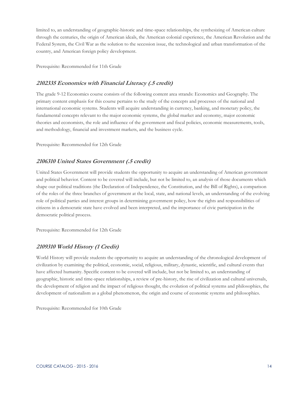limited to, an understanding of geographic-historic and time-space relationships, the synthesizing of American culture through the centuries, the origin of American ideals, the American colonial experience, the American Revolution and the Federal System, the Civil War as the solution to the secession issue, the technological and urban transformation of the country, and American foreign policy development.

Prerequisite: Recommended for 11th Grade

#### <span id="page-13-0"></span>**2102335 Economics with Financial Literacy (.5 credit)**

The grade 9-12 Economics course consists of the following content area strands: Economics and Geography. The primary content emphasis for this course pertains to the study of the concepts and processes of the national and international economic systems. Students will acquire understanding in currency, banking, and monetary policy, the fundamental concepts relevant to the major economic systems, the global market and economy, major economic theories and economists, the role and influence of the government and fiscal policies, economic measurements, tools, and methodology, financial and investment markets, and the business cycle.

Prerequisite: Recommended for 12th Grade

#### <span id="page-13-1"></span>**2106310 United States Government (.5 credit)**

United States Government will provide students the opportunity to acquire an understanding of American government and political behavior. Content to be covered will include, but not be limited to, an analysis of those documents which shape our political traditions (the Declaration of Independence, the Constitution, and the Bill of Rights), a comparison of the roles of the three branches of government at the local, state, and national levels, an understanding of the evolving role of political parties and interest groups in determining government policy, how the rights and responsibilities of citizens in a democratic state have evolved and been interpreted, and the importance of civic participation in the democratic political process.

Prerequisite: Recommended for 12th Grade

#### <span id="page-13-2"></span>**2109310 World History (1 Credit)**

World History will provide students the opportunity to acquire an understanding of the chronological development of civilization by examining the political, economic, social, religious, military, dynastic, scientific, and cultural events that have affected humanity. Specific content to be covered will include, but not be limited to, an understanding of geographic, historic and time-space relationships, a review of pre-history, the rise of civilization and cultural universals, the development of religion and the impact of religious thought, the evolution of political systems and philosophies, the development of nationalism as a global phenomenon, the origin and course of economic systems and philosophies.

Prerequisite: Recommended for 10th Grade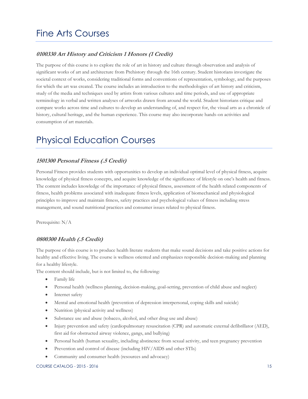## <span id="page-14-0"></span>Fine Arts Courses

#### <span id="page-14-1"></span>**0100330 Art History and Criticism 1 Honors (1 Credit)**

The purpose of this course is to explore the role of art in history and culture through observation and analysis of significant works of art and architecture from Prehistory through the 16th century. Student historians investigate the societal context of works, considering traditional forms and conventions of representation, symbology, and the purposes for which the art was created. The course includes an introduction to the methodologies of art history and criticism, study of the media and techniques used by artists from various cultures and time periods, and use of appropriate terminology in verbal and written analyses of artworks drawn from around the world. Student historians critique and compare works across time and cultures to develop an understanding of, and respect for, the visual arts as a chronicle of history, cultural heritage, and the human experience. This course may also incorporate hands-on activities and consumption of art materials.

## <span id="page-14-2"></span>Physical Education Courses

#### <span id="page-14-3"></span>**1501300 Personal Fitness (.5 Credit)**

Personal Fitness provides students with opportunities to develop an individual optimal level of physical fitness, acquire knowledge of physical fitness concepts, and acquire knowledge of the significance of lifestyle on one's health and fitness. The content includes knowledge of the importance of physical fitness, assessment of the health related components of fitness, health problems associated with inadequate fitness levels, application of biomechanical and physiological principles to improve and maintain fitness, safety practices and psychological values of fitness including stress management, and sound nutritional practices and consumer issues related to physical fitness.

Prerequisite: N/A

#### <span id="page-14-4"></span>**0800300 Health (.5 Credit)**

The purpose of this course is to produce health literate students that make sound decisions and take positive actions for healthy and effective living. The course is wellness oriented and emphasizes responsible decision-making and planning for a healthy lifestyle.

The content should include, but is not limited to, the following:

- Family life
- Personal health (wellness planning, decision-making, goal-setting, prevention of child abuse and neglect)
- Internet safety
- Mental and emotional health (prevention of depression interpersonal, coping skills and suicide)
- Nutrition (physical activity and wellness)
- Substance use and abuse (tobacco, alcohol, and other drug use and abuse)
- Injury prevention and safety (cardiopulmonary resuscitation (CPR) and automatic external defibrillator (AED), first aid for obstructed airway violence, gangs, and bullying)
- Personal health (human sexuality, including abstinence from sexual activity, and teen pregnancy prevention
- Prevention and control of disease (including HIV/AIDS and other STIs)
- Community and consumer health (resources and advocacy)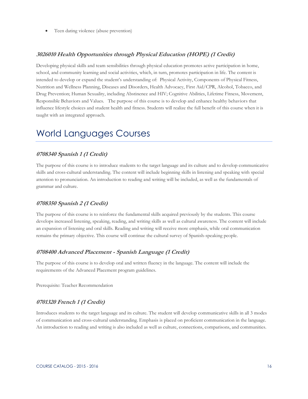Teen dating violence (abuse prevention)

#### <span id="page-15-0"></span>**3026010 Health Opportunities through Physical Education (HOPE) (1 Credit)**

Developing physical skills and team sensibilities through physical education promotes active participation in home, school, and community learning and social activities, which, in turn, promotes participation in life. The content is intended to develop or expand the student's understanding of: Physical Activity, Components of Physical Fitness, Nutrition and Wellness Planning, Diseases and Disorders, Health Advocacy, First Aid/CPR, Alcohol, Tobacco, and Drug Prevention; Human Sexuality, including Abstinence and HIV; Cognitive Abilities, Lifetime Fitness, Movement, Responsible Behaviors and Values. The purpose of this course is to develop and enhance healthy behaviors that influence lifestyle choices and student health and fitness. Students will realize the full benefit of this course when it is taught with an integrated approach.

## <span id="page-15-1"></span>World Languages Courses

#### <span id="page-15-2"></span>**0708340 Spanish 1 (1 Credit)**

The purpose of this course is to introduce students to the target language and its culture and to develop communicative skills and cross-cultural understanding. The content will include beginning skills in listening and speaking with special attention to pronunciation. An introduction to reading and writing will be included, as well as the fundamentals of grammar and culture.

#### <span id="page-15-3"></span>**0708350 Spanish 2 (1 Credit)**

The purpose of this course is to reinforce the fundamental skills acquired previously by the students. This course develops increased listening, speaking, reading, and writing skills as well as cultural awareness. The content will include an expansion of listening and oral skills. Reading and writing will receive more emphasis, while oral communication remains the primary objective. This course will continue the cultural survey of Spanish-speaking people.

#### <span id="page-15-4"></span>**0708400 Advanced Placement - Spanish Language (1 Credit)**

The purpose of this course is to develop oral and written fluency in the language. The content will include the requirements of the Advanced Placement program guidelines.

Prerequisite: Teacher Recommendation

#### <span id="page-15-5"></span>**0701320 French 1 (1 Credit)**

Introduces students to the target language and its culture. The student will develop communicative skills in all 3 modes of communication and cross-cultural understanding. Emphasis is placed on proficient communication in the language. An introduction to reading and writing is also included as well as culture, connections, comparisons, and communities.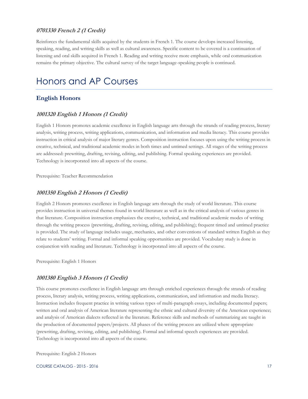#### <span id="page-16-0"></span>**0701330 French 2 (1 Credit)**

Reinforces the fundamental skills acquired by the students in French 1. The course develops increased listening, speaking, reading, and writing skills as well as cultural awareness. Specific content to be covered is a continuation of listening and oral skills acquired in French 1. Reading and writing receive more emphasis, while oral communication remains the primary objective. The cultural survey of the target language-speaking people is continued.

## <span id="page-16-1"></span>Honors and AP Courses

#### <span id="page-16-2"></span>**English Honors**

#### <span id="page-16-3"></span>**1001320 English 1 Honors (1 Credit)**

English 1 Honors promotes academic excellence in English language arts through the strands of reading process, literary analysis, writing process, writing applications, communication, and information and media literacy. This course provides instruction in critical analysis of major literary genres. Composition instruction focuses upon using the writing process in creative, technical, and traditional academic modes in both times and untimed settings. All stages of the writing process are addressed: prewriting, drafting, revising, editing, and publishing. Formal speaking experiences are provided. Technology is incorporated into all aspects of the course.

Prerequisite: Teacher Recommendation

#### <span id="page-16-4"></span>**1001350 English 2 Honors (1 Credit)**

English 2 Honors promotes excellence in English language arts through the study of world literature. This course provides instruction in universal themes found in world literature as well as in the critical analysis of various genres in that literature. Composition instruction emphasizes the creative, technical, and traditional academic modes of writing through the writing process (prewriting, drafting, revising, editing, and publishing); frequent timed and untimed practice is provided. The study of language includes usage, mechanics, and other conventions of standard written English as they relate to students' writing. Formal and informal speaking opportunities are provided. Vocabulary study is done in conjunction with reading and literature. Technology is incorporated into all aspects of the course.

Prerequisite: English 1 Honors

#### <span id="page-16-5"></span>**1001380 English 3 Honors (1 Credit)**

This course promotes excellence in English language arts through enriched experiences through the strands of reading process, literary analysis, writing process, writing applications, communication, and information and media literacy. Instruction includes frequent practice in writing various types of multi-paragraph essays, including documented papers; written and oral analysis of American literature representing the ethnic and cultural diversity of the American experience; and analysis of American dialects reflected in the literature. Reference skills and methods of summarizing are taught in the production of documented papers/projects. All phases of the writing process are utilized where appropriate (prewriting, drafting, revising, editing, and publishing). Formal and informal speech experiences are provided. Technology is incorporated into all aspects of the course.

Prerequisite: English 2 Honors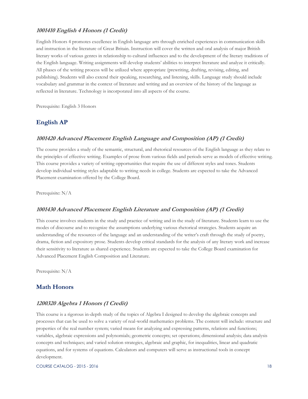#### <span id="page-17-0"></span>**1001410 English 4 Honors (1 Credit)**

English Honors 4 promotes excellence in English language arts through enriched experiences in communication skills and instruction in the literature of Great Britain. Instruction will cover the written and oral analysis of major British literary works of various genres in relationship to cultural influences and to the development of the literary traditions of the English language. Writing assignments will develop students' abilities to interpret literature and analyze it critically. All phases of the writing process will be utilized where appropriate (prewriting, drafting, revising, editing, and publishing). Students will also extend their speaking, researching, and listening, skills. Language study should include vocabulary and grammar in the context of literature and writing and an overview of the history of the language as reflected in literature. Technology is incorporated into all aspects of the course.

Prerequisite: English 3 Honors

#### <span id="page-17-1"></span>**English AP**

#### <span id="page-17-2"></span>**1001420 Advanced Placement English Language and Composition (AP) (1 Credit)**

The course provides a study of the semantic, structural, and rhetorical resources of the English language as they relate to the principles of effective writing. Examples of prose from various fields and periods serve as models of effective writing. This course provides a variety of writing opportunities that require the use of different styles and tones. Students develop individual writing styles adaptable to writing needs in college. Students are expected to take the Advanced Placement examination offered by the College Board.

Prerequisite: N/A

#### <span id="page-17-3"></span>**1001430 Advanced Placement English Literature and Composition (AP) (1 Credit)**

This course involves students in the study and practice of writing and in the study of literature. Students learn to use the modes of discourse and to recognize the assumptions underlying various rhetorical strategies. Students acquire an understanding of the resources of the language and an understanding of the writer's craft through the study of poetry, drama, fiction and expository prose. Students develop critical standards for the analysis of any literary work and increase their sensitivity to literature as shared experience. Students are expected to take the College Board examination for Advanced Placement English Composition and Literature.

Prerequisite: N/A

#### <span id="page-17-4"></span>**Math Honors**

#### <span id="page-17-5"></span>**1200320 Algebra 1 Honors (1 Credit)**

This course is a rigorous in-depth study of the topics of Algebra I designed to develop the algebraic concepts and processes that can be used to solve a variety of real-world mathematics problems. The content will include: structure and properties of the real number system; varied means for analyzing and expressing patterns, relations and functions; variables, algebraic expressions and polynomials; geometric concepts; set operations; dimensional analysis; data analysis concepts and techniques; and varied solution strategies, algebraic and graphic, for inequalities, linear and quadratic equations, and for systems of equations. Calculators and computers will serve as instructional tools in concept development.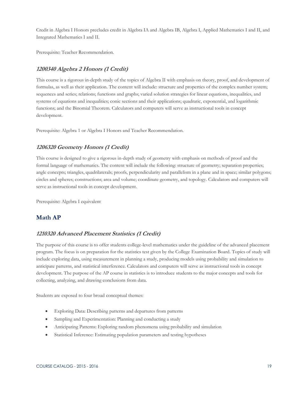Credit in Algebra I Honors precludes credit in Algebra IA and Algebra IB, Algebra I, Applied Mathematics I and II, and Integrated Mathematics I and II.

Prerequisite: Teacher Recommendation.

#### <span id="page-18-0"></span>**1200340 Algebra 2 Honors (1 Credit)**

This course is a rigorous in-depth study of the topics of Algebra II with emphasis on theory, proof, and development of formulas, as well as their application. The content will include: structure and properties of the complex number system; sequences and series; relations; functions and graphs; varied solution strategies for linear equations, inequalities, and systems of equations and inequalities; conic sections and their applications; quadratic, exponential, and logarithmic functions; and the Binomial Theorem. Calculators and computers will serve as instructional tools in concept development.

Prerequisite: Algebra 1 or Algebra I Honors and Teacher Recommendation.

#### <span id="page-18-1"></span>**1206320 Geometry Honors (1 Credit)**

This course is designed to give a rigorous in-depth study of geometry with emphasis on methods of proof and the formal language of mathematics. The content will include the following: structure of geometry; separation properties; angle concepts; triangles, quadrilaterals; proofs, perpendicularity and parallelism in a plane and in space; similar polygons; circles and spheres; constructions; area and volume; coordinate geometry, and topology. Calculators and computers will serve as instructional tools in concept development.

Prerequisite: Algebra I equivalent

#### <span id="page-18-2"></span>**Math AP**

#### <span id="page-18-3"></span>**1210320 Advanced Placement Statistics (1 Credit)**

The purpose of this course is to offer students college-level mathematics under the guideline of the advanced placement program. The focus is on preparation for the statistics test given by the College Examination Board. Topics of study will include exploring data, using measurement in planning a study, producing models using probability and simulation to anticipate patterns, and statistical interference. Calculators and computers will serve as instructional tools in concept development. The purpose of the AP course in statistics is to introduce students to the major concepts and tools for collecting, analyzing, and drawing conclusions from data.

Students are exposed to four broad conceptual themes:

- Exploring Data: Describing patterns and departures from patterns
- Sampling and Experimentation: Planning and conducting a study
- Anticipating Patterns: Exploring random phenomena using probability and simulation
- Statistical Inference: Estimating population parameters and testing hypotheses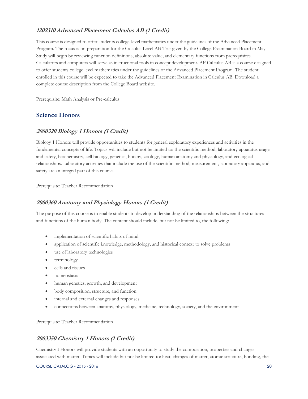#### <span id="page-19-0"></span>**1202310 Advanced Placement Calculus AB (1 Credit)**

This course is designed to offer students college-level mathematics under the guidelines of the Advanced Placement Program. The focus is on preparation for the Calculus Level AB Test given by the College Examination Board in May. Study will begin by reviewing function definitions, absolute value, and elementary functions from prerequisites. Calculators and computers will serve as instructional tools in concept development. AP Calculus AB is a course designed to offer students college level mathematics under the guidelines of the Advanced Placement Program. The student enrolled in this course will be expected to take the Advanced Placement Examination in Calculus AB. Download a complete course description from the College Board website.

Prerequisite: Math Analysis or Pre-calculus

#### <span id="page-19-1"></span>**Science Honors**

#### <span id="page-19-2"></span>**2000320 Biology 1 Honors (1 Credit)**

Biology 1 Honors will provide opportunities to students for general exploratory experiences and activities in the fundamental concepts of life. Topics will include but not be limited to: the scientific method, laboratory apparatus usage and safety, biochemistry, cell biology, genetics, botany, zoology, human anatomy and physiology, and ecological relationships. Laboratory activities that include the use of the scientific method, measurement, laboratory apparatus, and safety are an integral part of this course.

Prerequisite: Teacher Recommendation

#### <span id="page-19-3"></span>**2000360 Anatomy and Physiology Honors (1 Credit)**

The purpose of this course is to enable students to develop understanding of the relationships between the structures and functions of the human body. The content should include, but not be limited to, the following:

- implementation of scientific habits of mind
- application of scientific knowledge, methodology, and historical context to solve problems
- use of laboratory technologies
- terminology
- cells and tissues
- homeostasis
- human genetics, growth, and development
- body composition, structure, and function
- internal and external changes and responses
- connections between anatomy, physiology, medicine, technology, society, and the environment

Prerequisite: Teacher Recommendation

#### <span id="page-19-4"></span>**2003350 Chemistry 1 Honors (1 Credit)**

Chemistry I Honors will provide students with an opportunity to study the composition, properties and changes associated with matter. Topics will include but not be limited to: heat, changes of matter, atomic structure, bonding, the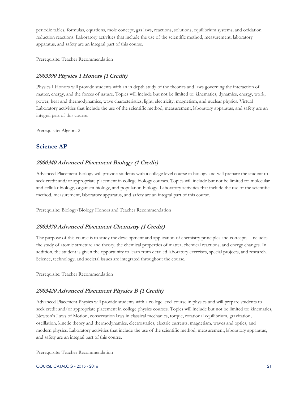periodic tables, formulas, equations, mole concept, gas laws, reactions, solutions, equilibrium systems, and oxidation reduction reactions. Laboratory activities that include the use of the scientific method, measurement, laboratory apparatus, and safety are an integral part of this course.

Prerequisite: Teacher Recommendation

#### <span id="page-20-0"></span>**2003390 Physics 1 Honors (1 Credit)**

Physics I Honors will provide students with an in depth study of the theories and laws governing the interaction of matter, energy, and the forces of nature. Topics will include but not be limited to: kinematics, dynamics, energy, work, power, heat and thermodynamics, wave characteristics, light, electricity, magnetism, and nuclear physics. Virtual Laboratory activities that include the use of the scientific method, measurement, laboratory apparatus, and safety are an integral part of this course.

Prerequisite: Algebra 2

#### <span id="page-20-1"></span>**Science AP**

#### <span id="page-20-2"></span>**2000340 Advanced Placement Biology (1 Credit)**

Advanced Placement Biology will provide students with a college level course in biology and will prepare the student to seek credit and/or appropriate placement in college biology courses. Topics will include but not be limited to: molecular and cellular biology, organism biology, and population biology. Laboratory activities that include the use of the scientific method, measurement, laboratory apparatus, and safety are an integral part of this course.

Prerequisite: Biology/Biology Honors and Teacher Recommendation

#### <span id="page-20-3"></span>**2003370 Advanced Placement Chemistry (1 Credit)**

The purpose of this course is to study the development and application of chemistry principles and concepts. Includes the study of atomic structure and theory, the chemical properties of matter, chemical reactions, and energy changes. In addition, the student is given the opportunity to learn from detailed laboratory exercises, special projects, and research. Science, technology, and societal issues are integrated throughout the course.

Prerequisite: Teacher Recommendation

#### <span id="page-20-4"></span>**2003420 Advanced Placement Physics B (1 Credit)**

Advanced Placement Physics will provide students with a college level course in physics and will prepare students to seek credit and/or appropriate placement in college physics courses. Topics will include but not be limited to: kinematics, Newton's Laws of Motion, conservation laws in classical mechanics, torque, rotational equilibrium, gravitation, oscillation, kinetic theory and thermodynamics, electrostatics, electric currents, magnetism, waves and optics, and modern physics. Laboratory activities that include the use of the scientific method, measurement, laboratory apparatus, and safety are an integral part of this course.

Prerequisite: Teacher Recommendation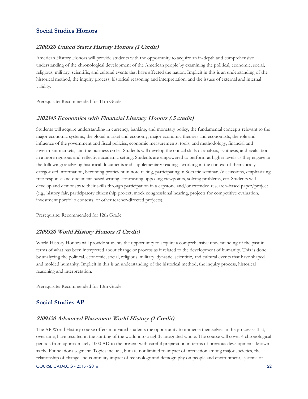#### <span id="page-21-0"></span>**Social Studies Honors**

#### <span id="page-21-1"></span>**2100320 United States History Honors (1 Credit)**

American History Honors will provide students with the opportunity to acquire an in-depth and comprehensive understanding of the chronological development of the American people by examining the political, economic, social, religious, military, scientific, and cultural events that have affected the nation. Implicit in this is an understanding of the historical method, the inquiry process, historical reasoning and interpretation, and the issues of external and internal validity.

Prerequisite: Recommended for 11th Grade

#### <span id="page-21-2"></span>**2102345 Economics with Financial Literacy Honors (.5 credit)**

Students will acquire understanding in currency, banking, and monetary policy, the fundamental concepts relevant to the major economic systems, the global market and economy, major economic theories and economists, the role and influence of the government and fiscal policies, economic measurements, tools, and methodology, financial and investment markets, and the business cycle. Students will develop the critical skills of analysis, synthesis, and evaluation in a more rigorous and reflective academic setting. Students are empowered to perform at higher levels as they engage in the following: analyzing historical documents and supplementary readings, working in the context of thematically categorized information, becoming proficient in note-taking, participating in Socratic seminars/discussions, emphasizing free-response and document-based writing, contrasting opposing viewpoints, solving problems, etc. Students will develop and demonstrate their skills through participation in a capstone and/or extended research-based paper/project (e.g., history fair, participatory citizenship project, mock congressional hearing, projects for competitive evaluation, investment portfolio contests, or other teacher-directed projects).

Prerequisite: Recommended for 12th Grade

#### <span id="page-21-3"></span>**2109320 World History Honors (1 Credit)**

World History Honors will provide students the opportunity to acquire a comprehensive understanding of the past in terms of what has been interpreted about change or process as it related to the development of humanity. This is done by analyzing the political, economic, social, religious, military, dynastic, scientific, and cultural events that have shaped and molded humanity. Implicit in this is an understanding of the historical method, the inquiry process, historical reasoning and interpretation.

Prerequisite: Recommended for 10th Grade

#### <span id="page-21-4"></span>**Social Studies AP**

#### <span id="page-21-5"></span>**2109420 Advanced Placement World History (1 Credit)**

The AP World History course offers motivated students the opportunity to immerse themselves in the processes that, over time, have resulted in the knitting of the world into a tightly integrated whole. The course will cover 4 chronological periods from approximately 1000 AD to the present with careful preparation in terms of previous developments known as the Foundations segment. Topics include, but are not limited to impact of interaction among major societies, the relationship of change and continuity impact of technology and demography on people and environment, systems of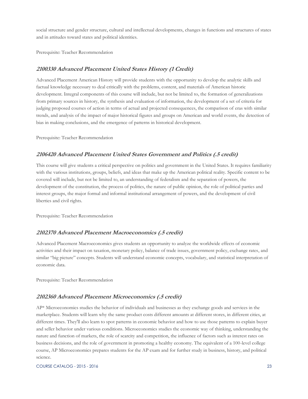social structure and gender structure, cultural and intellectual developments, changes in functions and structures of states and in attitudes toward states and political identities.

Prerequisite: Teacher Recommendation

#### <span id="page-22-0"></span>**2100330 Advanced Placement United States History (1 Credit)**

Advanced Placement American History will provide students with the opportunity to develop the analytic skills and factual knowledge necessary to deal critically with the problems, content, and materials of American historic development. Integral components of this course will include, but not be limited to, the formation of generalizations from primary sources in history, the synthesis and evaluation of information, the development of a set of criteria for judging proposed courses of action in terms of actual and projected consequences, the comparison of eras with similar trends, and analysis of the impact of major historical figures and groups on American and world events, the detection of bias in making conclusions, and the emergence of patterns in historical development.

Prerequisite: Teacher Recommendation

#### <span id="page-22-1"></span>**2106420 Advanced Placement United States Government and Politics (.5 credit)**

This course will give students a critical perspective on politics and government in the United States. It requires familiarity with the various institutions, groups, beliefs, and ideas that make up the American political reality. Specific content to be covered will include, but not be limited to, an understanding of federalism and the separation of powers, the development of the constitution, the process of politics, the nature of public opinion, the role of political parties and interest groups, the major formal and informal institutional arrangement of powers, and the development of civil liberties and civil rights.

Prerequisite: Teacher Recommendation

#### <span id="page-22-2"></span>**2102370 Advanced Placement Macroeconomics (.5 credit)**

Advanced Placement Macroeconomics gives students an opportunity to analyze the worldwide effects of economic activities and their impact on taxation, monetary policy, balance of trade issues, government policy, exchange rates, and similar "big picture" concepts. Students will understand economic concepts, vocabulary, and statistical interpretation of economic data.

Prerequisite: Teacher Recommendation

#### <span id="page-22-3"></span>**2102360 Advanced Placement Microeconomics (.5 credit)**

AP\* Microeconomics studies the behavior of individuals and businesses as they exchange goods and services in the marketplace. Students will learn why the same product costs different amounts at different stores, in different cities, at different times. They'll also learn to spot patterns in economic behavior and how to use those patterns to explain buyer and seller behavior under various conditions. Microeconomics studies the economic way of thinking, understanding the nature and function of markets, the role of scarcity and competition, the influence of factors such as interest rates on business decisions, and the role of government in promoting a healthy economy. The equivalent of a 100-level college course, AP Microeconomics prepares students for the AP exam and for further study in business, history, and political science.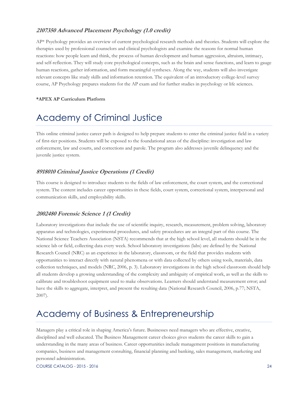#### <span id="page-23-0"></span>**2107350 Advanced Placement Psychology (1.0 credit)**

AP\* Psychology provides an overview of current psychological research methods and theories. Students will explore the therapies used by professional counselors and clinical psychologists and examine the reasons for normal human reactions: how people learn and think, the process of human development and human aggression, altruism, intimacy, and self-reflection. They will study core psychological concepts, such as the brain and sense functions, and learn to gauge human reactions, gather information, and form meaningful syntheses. Along the way, students will also investigate relevant concepts like study skills and information retention. The equivalent of an introductory college-level survey course, AP Psychology prepares students for the AP exam and for further studies in psychology or life sciences.

#### **\*APEX AP Curriculum Platform**

## <span id="page-23-1"></span>Academy of Criminal Justice

This online criminal justice career path is designed to help prepare students to enter the criminal justice field in a variety of first-tier positions. Students will be exposed to the foundational areas of the discipline: investigation and law enforcement, law and courts, and corrections and parole. The program also addresses juvenile delinquency and the juvenile justice system.

#### <span id="page-23-2"></span>**8918010 Criminal Justice Operations (1 Credit)**

This course is designed to introduce students to the fields of law enforcement, the court system, and the correctional system. The content includes career opportunities in these fields, court system, correctional system, interpersonal and communication skills, and employability skills.

#### <span id="page-23-3"></span>**2002480 Forensic Science 1 (1 Credit)**

Laboratory investigations that include the use of scientific inquiry, research, measurement, problem solving, laboratory apparatus and technologies, experimental procedures, and safety procedures are an integral part of this course. The National Science Teachers Association (NSTA) recommends that at the high school level, all students should be in the science lab or field, collecting data every week. School laboratory investigations (labs) are defined by the National Research Council (NRC) as an experience in the laboratory, classroom, or the field that provides students with opportunities to interact directly with natural phenomena or with data collected by others using tools, materials, data collection techniques, and models (NRC, 2006, p. 3). Laboratory investigations in the high school classroom should help all students develop a growing understanding of the complexity and ambiguity of empirical work, as well as the skills to calibrate and troubleshoot equipment used to make observations. Learners should understand measurement error; and have the skills to aggregate, interpret, and present the resulting data (National Research Council, 2006, p.77; NSTA, 2007).

## <span id="page-23-4"></span>Academy of Business & Entrepreneurship

Managers play a critical role in shaping America's future. Businesses need managers who are effective, creative, disciplined and well educated. The Business Management career choices gives students the career skills to gain a understanding in the many areas of business. Career opportunities include management positions in manufacturing companies, business and management consulting, financial planning and banking, sales management, marketing and personnel administration.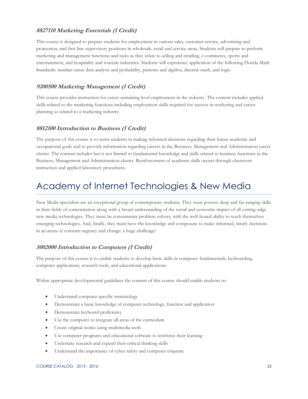#### <span id="page-24-0"></span>**8827110 Marketing Essentials (1 Credit)**

This course is designed to prepare students for employment in various sales, customer service, advertising and promotion, and first line supervisory positions in wholesale, retail and service areas. Students will prepare to perform marketing and management functions and tasks as they relate to selling and retailing, e-commerce, sports and entertainment, and hospitality and tourism industries. Students will experience application of the following Florida Math Standards: number sense data analysis and probability, patterns and algebra, discrete math, and logic.

#### <span id="page-24-1"></span>**9200500 Marketing Management (1 Credit)**

This course provides instruction for career sustaining level employment in the industry. The content includes applied skills related to the marketing functions including employment skills required for success in marketing and career planning as related to a marketing industry.

#### <span id="page-24-2"></span>**8812100 Introduction to Business (1 Credit)**

The purpose of this course is to assist students in making informed decisions regarding their future academic and occupational goals and to provide information regarding careers in the Business, Management and Administration career cluster. The content includes but is not limited to fundamental knowledge and skills related to business functions in the Business, Management and Administration cluster. Reinforcement of academic skills occurs through classroom instruction and applied laboratory procedures.

## <span id="page-24-3"></span>Academy of Internet Technologies & New Media

New Media specialists are an exceptional group of contemporary students. They must possess deep and far-ranging skills in their fields of concentration along with a broad understanding of the social and economic impact of all cutting-edge new media technologies. They must be consummate problem solvers, with the well-honed ability to teach themselves emerging technologies. And, finally, they must have the knowledge and composure to make informed, timely decisions in an arena of constant urgency and change: a huge challenge!

#### <span id="page-24-4"></span>**5002000 Introduction to Computers (1 Credit)**

The purpose of this course is to enable students to develop basic skills in computer fundamentals, keyboarding, computer applications, research tools, and educational applications.

Within appropriate developmental guidelines the content of this course should enable students to:

- Understand computer specific terminology
- Demonstrate a basic knowledge of computer technology, function and application
- Demonstrate keyboard proficiency
- Use the computer to integrate all areas of the curriculum
- Create original works using multimedia tools
- Use computer programs and educational software to reinforce their learning
- Undertake research and expand their critical thinking skills
- Understand the importance of cyber safety and computer etiquette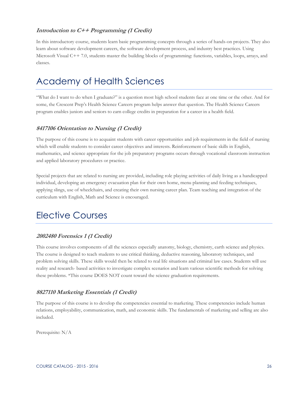#### <span id="page-25-0"></span>**Introduction to C++ Programming (1 Credit)**

In this introductory course, students learn basic programming concepts through a series of hands-on projects. They also learn about software development careers, the software development process, and industry best practices. Using Microsoft Visual C++ 7.0, students master the building blocks of programming: functions, variables, loops, arrays, and classes.

## <span id="page-25-1"></span>Academy of Health Sciences

"What do I want to do when I graduate?" is a question most high school students face at one time or the other. And for some, the Crescent Prep's Health Science Careers program helps answer that question. The Health Science Careers program enables juniors and seniors to earn college credits in preparation for a career in a health field.

#### <span id="page-25-2"></span>**8417106 Orientation to Nursing (1 Credit)**

The purpose of this course is to acquaint students with career opportunities and job requirements in the field of nursing which will enable students to consider career objectives and interests. Reinforcement of basic skills in English, mathematics, and science appropriate for the job preparatory programs occurs through vocational classroom instruction and applied laboratory procedures or practice.

Special projects that are related to nursing are provided, including role playing activities of daily living as a handicapped individual, developing an emergency evacuation plan for their own home, menu planning and feeding techniques, applying slings, use of wheelchairs, and creating their own nursing career plan. Team teaching and integration of the curriculum with English, Math and Science is encouraged.

## <span id="page-25-3"></span>Elective Courses

#### <span id="page-25-4"></span>**2002480 Forensics 1 (1 Credit)**

This course involves components of all the sciences especially anatomy, biology, chemistry, earth science and physics. The course is designed to teach students to use critical thinking, deductive reasoning, laboratory techniques, and problem solving skills. These skills would then be related to real life situations and criminal law cases. Students will use reality and research- based activities to investigate complex scenarios and learn various scientific methods for solving these problems. \*This course DOES NOT count toward the science graduation requirements.

#### <span id="page-25-5"></span>**8827110 Marketing Essentials (1 Credit)**

The purpose of this course is to develop the competencies essential to marketing. These competencies include human relations, employability, communication, math, and economic skills. The fundamentals of marketing and selling are also included.

Prerequisite: N/A